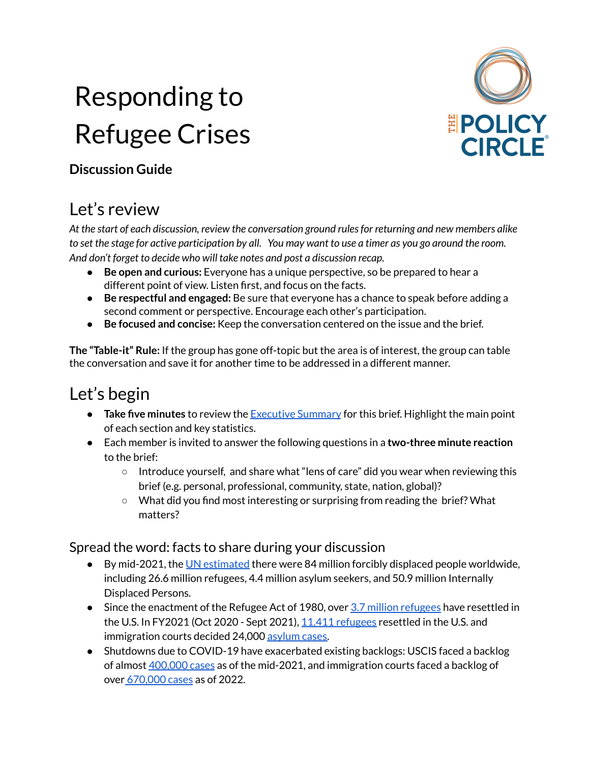# Responding to Refugee Crises



#### **Discussion Guide**

## Let's review

*At the start of each discussion, review the conversation ground rulesfor returning and new members alike* to set the stage for active participation by all. You may want to use a timer as you go around the room. *And don't forget to decide who will take notes and post a discussion recap.*

- **Be open and curious:** Everyone has a unique perspective, so be prepared to hear a different point of view. Listen first, and focus on the facts.
- **Be respectful and engaged:** Be sure that everyone has a chance to speak before adding a second comment or perspective. Encourage each other's participation.
- **Be focused and concise:** Keep the conversation centered on the issue and the brief.

**The "Table-it" Rule:** If the group has gone off-topic but the area is of interest, the group can table the conversation and save it for another time to be addressed in a different manner.

### Let's begin

- **Take five minutes** to review the [Executive](https://www.thepolicycircle.org/wp-content/uploads/2022/04/Responding-to-Refugee-Crises-Executive-Summary.pdf) Summary for this brief. Highlight the main point of each section and key statistics.
- Each member is invited to answer the following questions in a **two-three minute reaction** to the brief:
	- Introduce yourself, and share what "lens of care" did you wear when reviewing this brief (e.g. personal, professional, community, state, nation, global)?
	- What did you find most interesting or surprising from reading the brief? What matters?

#### Spread the word: facts to share during your discussion

- By mid-2021, the UN [estimated](https://www.unhcr.org/refugee-statistics/) there were 84 million forcibly displaced people worldwide, including 26.6 million refugees, 4.4 million asylum seekers, and 50.9 million Internally Displaced Persons.
- **•** Since the enactment of the Refugee Act of 1980, over  $3.7$  million [refugees](https://www.dhs.gov/sites/default/files/publications/immigration-statistics/yearbook/2019/refugee_and_asylee_2019.pdf) have resettled in the U.S. In FY2021 (Oct 2020 - Sept 2021), 11,411 [refugees](https://www.wrapsnet.org/documents/FY%202021%20Arrivals%20by%20State%20and%20Nationality%20as%20of%2030%20Sep%202021.pdf) resettled in the U.S. and immigration courts decided 24,000 [asylum](https://trac.syr.edu/immigration/reports/667/#:~:text=While%20asylum%20denial%20rates%20had,37%20percent%20under%20President%20Biden) cases.
- Shutdowns due to COVID-19 have exacerbated existing backlogs: USCIS faced a backlog of almost [400,000](https://www.dhs.gov/sites/default/files/2021-12/USCIS%20-%20Backlog%20Reduction%20of%20Pending%20Affirmative%20Asylum%20Cases.pdf) cases as of the mid-2021, and immigration courts faced a backlog of over [670,000](https://trac.syr.edu/phptools/immigration/asylumbl/) cases as of 2022.